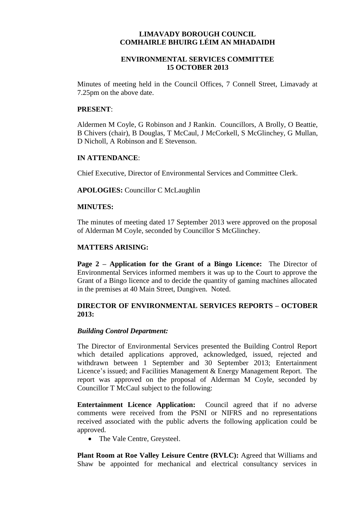# **LIMAVADY BOROUGH COUNCIL COMHAIRLE BHUIRG LÉIM AN MHADAIDH**

## **ENVIRONMENTAL SERVICES COMMITTEE 15 OCTOBER 2013**

Minutes of meeting held in the Council Offices, 7 Connell Street, Limavady at 7.25pm on the above date.

#### **PRESENT**:

Aldermen M Coyle, G Robinson and J Rankin. Councillors, A Brolly, O Beattie, B Chivers (chair), B Douglas, T McCaul, J McCorkell, S McGlinchey, G Mullan, D Nicholl, A Robinson and E Stevenson.

## **IN ATTENDANCE**:

Chief Executive, Director of Environmental Services and Committee Clerk.

**APOLOGIES:** Councillor C McLaughlin

#### **MINUTES:**

The minutes of meeting dated 17 September 2013 were approved on the proposal of Alderman M Coyle, seconded by Councillor S McGlinchey.

#### **MATTERS ARISING:**

**Page 2 – Application for the Grant of a Bingo Licence:** The Director of Environmental Services informed members it was up to the Court to approve the Grant of a Bingo licence and to decide the quantity of gaming machines allocated in the premises at 40 Main Street, Dungiven. Noted.

## **DIRECTOR OF ENVIRONMENTAL SERVICES REPORTS – OCTOBER 2013:**

#### *Building Control Department:*

The Director of Environmental Services presented the Building Control Report which detailed applications approved, acknowledged, issued, rejected and withdrawn between 1 September and 30 September 2013; Entertainment Licence's issued; and Facilities Management & Energy Management Report. The report was approved on the proposal of Alderman M Coyle, seconded by Councillor T McCaul subject to the following:

**Entertainment Licence Application:** Council agreed that if no adverse comments were received from the PSNI or NIFRS and no representations received associated with the public adverts the following application could be approved.

• The Vale Centre, Greysteel.

**Plant Room at Roe Valley Leisure Centre (RVLC):** Agreed that Williams and Shaw be appointed for mechanical and electrical consultancy services in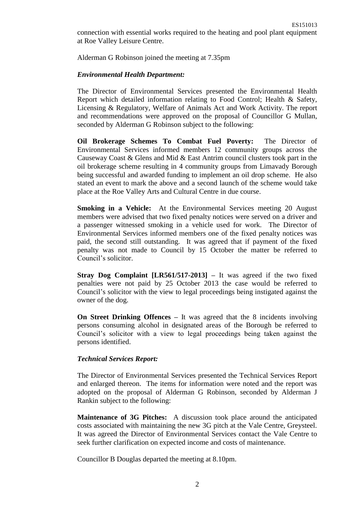connection with essential works required to the heating and pool plant equipment at Roe Valley Leisure Centre.

Alderman G Robinson joined the meeting at 7.35pm

#### *Environmental Health Department:*

The Director of Environmental Services presented the Environmental Health Report which detailed information relating to Food Control; Health & Safety, Licensing & Regulatory, Welfare of Animals Act and Work Activity. The report and recommendations were approved on the proposal of Councillor G Mullan, seconded by Alderman G Robinson subject to the following:

**Oil Brokerage Schemes To Combat Fuel Poverty:** The Director of Environmental Services informed members 12 community groups across the Causeway Coast & Glens and Mid & East Antrim council clusters took part in the oil brokerage scheme resulting in 4 community groups from Limavady Borough being successful and awarded funding to implement an oil drop scheme. He also stated an event to mark the above and a second launch of the scheme would take place at the Roe Valley Arts and Cultural Centre in due course.

**Smoking in a Vehicle:** At the Environmental Services meeting 20 August members were advised that two fixed penalty notices were served on a driver and a passenger witnessed smoking in a vehicle used for work. The Director of Environmental Services informed members one of the fixed penalty notices was paid, the second still outstanding. It was agreed that if payment of the fixed penalty was not made to Council by 15 October the matter be referred to Council's solicitor.

**Stray Dog Complaint [LR561/517-2013] –** It was agreed if the two fixed penalties were not paid by 25 October 2013 the case would be referred to Council's solicitor with the view to legal proceedings being instigated against the owner of the dog.

**On Street Drinking Offences –** It was agreed that the 8 incidents involving persons consuming alcohol in designated areas of the Borough be referred to Council's solicitor with a view to legal proceedings being taken against the persons identified.

## *Technical Services Report:*

The Director of Environmental Services presented the Technical Services Report and enlarged thereon. The items for information were noted and the report was adopted on the proposal of Alderman G Robinson, seconded by Alderman J Rankin subject to the following:

**Maintenance of 3G Pitches:** A discussion took place around the anticipated costs associated with maintaining the new 3G pitch at the Vale Centre, Greysteel. It was agreed the Director of Environmental Services contact the Vale Centre to seek further clarification on expected income and costs of maintenance.

Councillor B Douglas departed the meeting at 8.10pm.